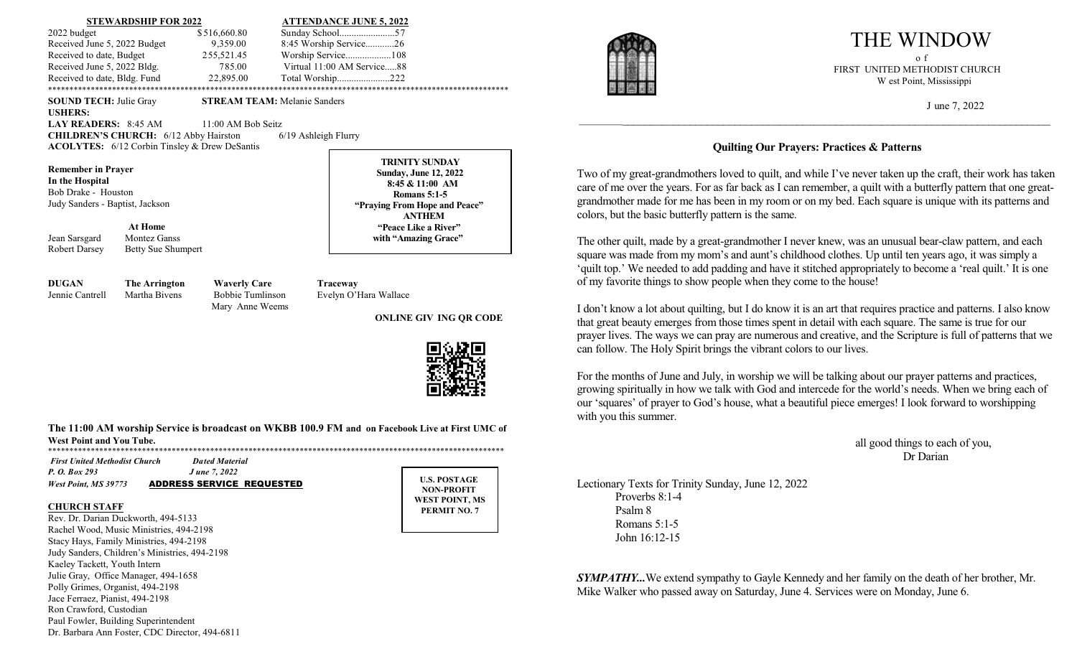### **STEWARDSHIP FOR 2022 ATTENDANCE JUNE 5, 2022** 2022 budget \$ 516,660.80 Sunday School.......................57 Received June 5, 2022 Budget 9,359.00 8:45 Worship Service............26 Received to date, Budget 255,521.45 Worship Service...................108 Received June 5, 2022 Bldg. 785.00 Virtual 11:00 AM Service.....88 Received to date, Bldg. Fund 22,895.00 Total Worship.......................222 \*\*\*\*\*\*\*\*\*\*\*\*\*\*\*\*\*\*\*\*\*\*\*\*\*\*\*\*\*\*\*\*\*\*\*\*\*\*\*\*\*\*\*\*\*\*\*\*\*\*\*\*\*\*\*\*\*\*\*\*\*\*\*\*\*\*\*\*\*\*\*\*\*\*\*\*\*\*\*\*\*\*\*\*\*\*\*\*\*\*\*\*\*\*\*\*\*\*\*\*\*\*\*\*\*\*\*\*

**SOUND TECH:** Julie Gray **STREAM TEAM:** Melanie Sanders

**USHERS:** 

**LAY READERS:** 8:45 AM 11:00 AM Bob Seitz

**CHILDREN'S CHURCH:** 6/12 Abby Hairston 6/19 Ashleigh Flurry **ACOLYTES:** 6/12 Corbin Tinsley & Drew DeSantis

**Remember in Prayer In the Hospital** Bob Drake - Houston Judy Sanders - Baptist, Jackson

**At Home**

Jean Sarsgard Montez Ganss Robert Darsey Betty Sue Shumpert

**TRINITY SUNDAY Sunday, June 12, 2022 8:45 & 11:00 AM Romans 5:1-5 "Praying From Hope and Peace" ANTHEM "Peace Like a River" with "Amazing Grace"**

**DUGAN The Arrington Waverly Care Traceway** Jennie Cantrell Martha Bivens Bobbie Tumlinson Evelyn O'Hara Wallace Mary Anne Weems

### **ONLINE GIV ING QR CODE**



### **The 11:00 AM worship Service is broadcast on WKBB 100.9 FM and on Facebook Live at First UMC of West Point and You Tube.**

\*\*\*\*\*\*\*\*\*\*\*\*\*\*\*\*\*\*\*\*\*\*\*\*\*\*\*\*\*\*\*\*\*\*\*\*\*\*\*\*\*\*\*\*\*\*\*\*\*\*\*\*\*\*\*\*\*\*\*\*\*\*\*\*\*\*\*\*\*\*\*\*\*\*\*\*\*\*\*\*\*\*\*\*\*\*\*\*\*\*\*\*\*\*\*\*\*\*\*\*\*\*\*\*\*\*\*

| <b>First United Methodist Church</b> | <b>Dated Material</b>            |
|--------------------------------------|----------------------------------|
| P. O. Box 293                        | <i>J</i> une 7, 2022             |
| <b>West Point, MS 39773</b>          | <b>ADDRESS SERVICE REQUESTED</b> |

#### **CHURCH STAFF**

Rev. Dr. Darian Duckworth, 494-5133 Rachel Wood, Music Ministries, 494-2198 Stacy Hays, Family Ministries, 494-2198 Judy Sanders, Children's Ministries, 494-2198 Kaeley Tackett, Youth Intern Julie Gray, Office Manager, 494-1658 Polly Grimes, Organist, 494-2198 Jace Ferraez, Pianist, 494-2198 Ron Crawford, Custodian Paul Fowler, Building Superintendent Dr. Barbara Ann Foster, CDC Director, 494-6811

**U.S. POSTAGE NON-PROFIT WEST POINT, MS PERMIT NO. 7**



# THE WINDOW

 $\mathbb{Z}$  in the following  $\mathbb{Z}$  following  $\mathbb{Z}$  following  $\mathbb{Z}$  following  $\mathbb{Z}$  following  $\mathbb{Z}$  following  $\mathbb{Z}$  following  $\mathbb{Z}$  following  $\mathbb{Z}$  following  $\mathbb{Z}$  following  $\mathbb{Z}$  following  $\mathbb{$  FIRST UNITED METHODIST CHURCH W est Point, Mississippi

J une 7, 2022

### **Quilting Our Prayers: Practices & Patterns**

\_\_\_\_\_\_\_\_\_\_\_\_\_\_\_\_\_\_\_\_\_\_\_\_\_\_\_\_\_\_\_\_\_\_\_\_\_\_\_\_\_\_\_\_\_\_\_\_\_\_\_\_\_\_\_\_\_\_\_\_\_\_\_\_\_\_\_\_\_\_\_\_\_\_\_\_\_\_\_\_\_\_\_\_

Two of my great-grandmothers loved to quilt, and while I've never taken up the craft, their work has taken care of me over the years. For as far back as I can remember, a quilt with a butterfly pattern that one greatgrandmother made for me has been in my room or on my bed. Each square is unique with its patterns and colors, but the basic butterfly pattern is the same.

The other quilt, made by a great-grandmother I never knew, was an unusual bear-claw pattern, and each square was made from my mom's and aunt's childhood clothes. Up until ten years ago, it was simply a 'quilt top.' We needed to add padding and have it stitched appropriately to become a 'real quilt.' It is one of my favorite things to show people when they come to the house!

I don't know a lot about quilting, but I do know it is an art that requires practice and patterns. I also know that great beauty emerges from those times spent in detail with each square. The same is true for our prayer lives. The ways we can pray are numerous and creative, and the Scripture is full of patterns that we can follow. The Holy Spirit brings the vibrant colors to our lives.

For the months of June and July, in worship we will be talking about our prayer patterns and practices, growing spiritually in how we talk with God and intercede for the world's needs. When we bring each of our 'squares' of prayer to God's house, what a beautiful piece emerges! I look forward to worshipping with you this summer.

> all good things to each of you, Dr Darian

Lectionary Texts for Trinity Sunday, June 12, 2022 Proverbs 8:1-4 Psalm 8 Romans 5:1-5 John 16:12-15

*SYMPATHY...*We extend sympathy to Gayle Kennedy and her family on the death of her brother, Mr. Mike Walker who passed away on Saturday, June 4. Services were on Monday, June 6.